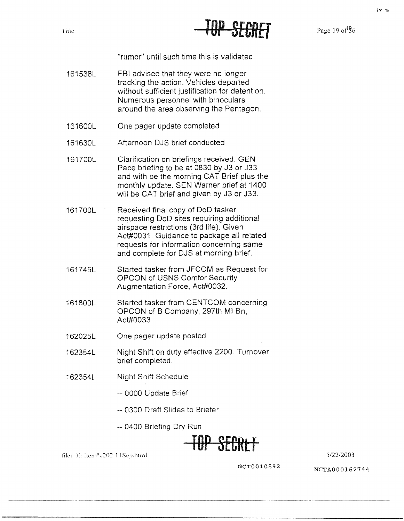

Page 19 of 96

"rumor" until such time this is validated.

- 161538L FBI advised that they were no longer tracking the action. Vehicles departed without sufficient justification for detention. Numerous personnel with binoculars around the area observing the Pentagon.
- 161600L One pager update completed
- 161630L Afternoon DJS brief conducted
- 161700L Clarification on briefings received. GEN Pace briefing to be at 0830 by J3 or J33 and with be the morning CAT Brief plus the monthly update. SEN Warner brief at 1400 will be CAT brief and given by J3 or J33.
- 161700L Received final copy of DoD tasker requesting DoD sites requiring additional airspace restrictions (3rd life). Given Act#0031. Guidance to package all related requests for information concerning same and complete for DJS at morning brief.
- 161745L Started tasker from JFCOM as Request for OPCON of USNS Comfor Security Augmentation Force, Act#0032.
- 161800L Started tasker from CENTCOM concerning OPCON of 8 Company, 297th Ml Bn, Act#0033.
- 162025L One pager update posted
- 162354L Night Shift on duty effective 2200. Turnover brief completed.
- 162354L Night Shift Schedule
	- -- 0000 Update Brief
	- -- 0300 Draft Slides to Briefer
	- -- 0400 Briefing Dry Run



5/22/2003

file: E: Item<sup>0</sup> J202 11Sep.html

**NCT0010892**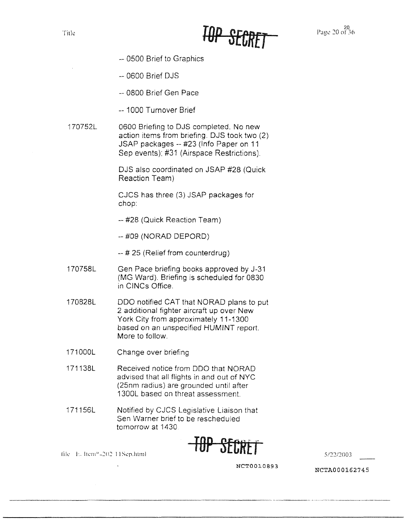

20<br>Page 20 of 36

- -- 0500 Brief to Graphics
- -- 0600 Brief DJS

-- 0800 Brief Gen Pace

- -- 1000 Turnover Brief
- 170752L 0600 Briefing to DJS completed. No new action items from briefing. DJS took two (2) JSAP packages -- #23 (Info Paper on 11 Sep events): #31 (Airspace Restrictions).

DJS also coordinated on JSAP #28 (Quick Reaction Team)

CJCS has three (3) JSAP packages for chop:

- -- #28 (Quick Reaction Team)
- -- #09 (NORAD DEPORD)
- -- # 25 (Relief from counterdrug)
- 170758L Gen Pace briefing books approved by J-31 (MG Ward). Briefing is scheduled for 0830 in CINCs Office.
- 170828L ODO notified CAT that NORAD plans to put 2 additional fighter aircraft up over New York City from approximately 11-1300 based on an unspecified HUMINT report. More to follow.
- 171000L Change over briefing

file E. Item<sup>6</sup> 202 11Sep.html

- 171138L Received notice from ODO that NORAD advised that all flights in and out of NYC (25nm radius) are grounded until after 1300L based on threat assessment.
- 171156L Notified by CJCS Legislative Liaison that Sen Warner brief to be rescheduled tomorrow at 1430



5/22/2003

**NCT00l0893 NCTA000162745**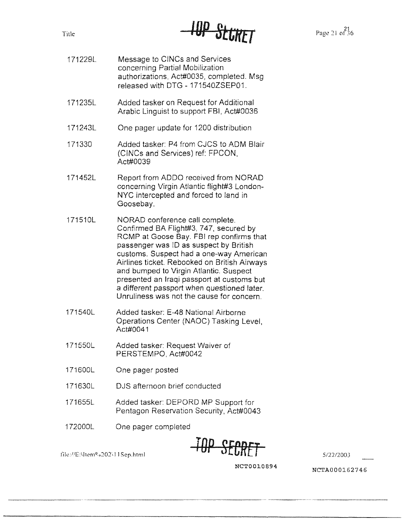

Page 21 of 36

- Message to CINCs and Services concerning Partial Mobilization authorizations, Act#0035, completed. Msg released with DTG - 171540ZSEP01. 171229L
- Added tasker on Request for Additional Arabic Linguist to support FBI, Act#0036 171235L
- One pager update for 1200 distribution 171243L
- Added tasker: P4 from CJCS to ADM Blair (CINCs and Services) ref: FPCON, Act#0039 171330
- Report from ADDO received from NORAD concerning Virgin Atlantic flight#3 London-NYC intercepted and forced to land in Goosebay. 171452L
- NORAD conference call complete. Confirmed BA Flight#3, 747, secured by RCMP at Goose Bay. FBI rep confirms that passenger was ID as suspect by British customs. Suspect had a one-way American Airlines ticket. Rebooked on British Airways and bumped to Virgin Atlantic. Suspect presented an Iraqi passport at customs but a different passport when questioned later. Unruliness was not the cause for concern. 171510L
- Added tasker: E-48 National Airborne Operations Center (NAOC) Tasking Level, Act#0041 171540L
- Added tasker: Request Waiver of PERSTEMPO, Act#0042 171550L
- One pager posted 171600L
- DJS afternoon brief conducted 171630L
- Added tasker: DEPORD MP Support for Pentagon Reservation Security, Act#0043 171655L
- One pager completed 172000L

file://E:\Item9.0202\11Sep.html



5/22/2003

**NCTOOl.0894**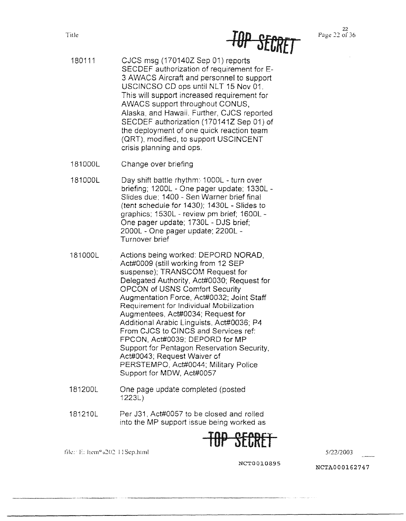- 180111 CJCS msg (170140Z Sep 01) reports SECDEF authorization of requirement for E-3 AWACS Aircraft and personnel to support USCINCSO CD ops until NLT 15 Nov 01. This will support increased requirement for AWACS support throughout CONUS, Alaska, and Hawaii. Further, CJCS reported SECDEF authorization (170141Z Sep 01) of the deployment of one quick reaction team (ORT), modified, to support USCINCENT crisis planning and ops.
- 181000L Change over briefing
- 181000L Day shift battle rhythm:-1 000L turn over briefing; 1200L - One pager update; 1330L - Slides due; 1400 - Sen Warner brief final (tent schedule for 1430); 1430L - Slides to graphics; 1530L - review pm brief; 1600L - One pager update; 1730L - DJS brief; 2000L - One pager update; 2200L - Turnover brief
- 181000L Actions being worked: DEPORD NORAD, Act#0009 (still working from 12 SEP suspense); TRANSCOM Request for Delegated Authority, Act#0030; Request for OPCON of USNS Comfort Security Augmentation Force, Act#0032; Joint Staff Requirement for Individual Mobilization Augmentees, Act#0034; Request for Additional Arabic Linguists, Act#0036; P4 From CJCS to C!NCS and Services ref: FPCON, Act#0039; DEPORD for MP Support for Pentagon Reservation Security. Act#0043; Request Waiver cf PERSTEMPO, Act#0044; Military Police Support for **MOW,** Act#0057
- 181200L One page update completed (posted 1223L)
- 181210L Per J31, Act#00S? to be closed and rolled into the MP support issue being worked as



tik: 1: 1: ltem<sup>9</sup> e202 11Sep.html 5/22/2003

**NCT0010895 NCTA000162747**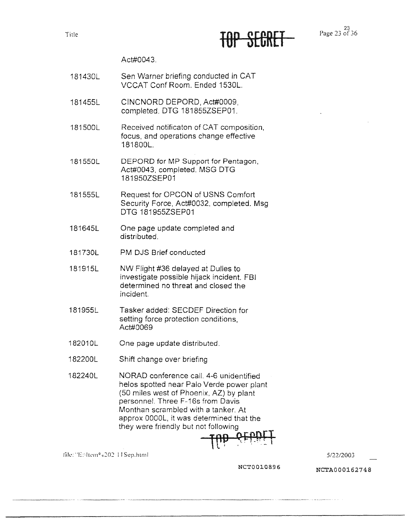TUT OLUNLI

### Act#0043.

- 181430L Sen Warner briefing conducted in CAT VCCAT Conf Room. Ended 1530L.
- 181455L CINCNORD DEPORD, Act#0009, completed. DTG 181855ZSEP01.
- 181500L Received notificaton of CAT composition, focus, and operations change effective 181800L.
- 181550L DEPORD for MP Support for Pentagon, Act#0043, completed. MSG DTG 181950ZSEP01
- 181555L Request for OPCON of USNS Comfort Security Force, Act#0032, completed. Msg OTG 181955ZSEP01
- 181645L One page update completed and distributed.
- 181730L PM DJS Brief conducted
- 181915L NW Flight #36 delayed at Dulles to investigate possible hijack incident. FBI determined no threat and closed the incident.
- 181955L Tasker added: SECDEF Direction for setting force protection conditions, Act#0069
- 182010L One page update distributed.
- 182200L Shift change over briefing
- 182240L NORAD conference call. 4-6 unidentified helos spotted near Palo Verde power plant (50 miles west of Phoenix, AZ) by plant personnel. Three F-16s from Davis Monthan scrambled with a tanker. At approx OOOOL, it was determined that the they were friendly but not following

 $\frac{1}{100}$  orbit

file: "Enliem® 0202-11Sep.html

**NCTOOl.0896**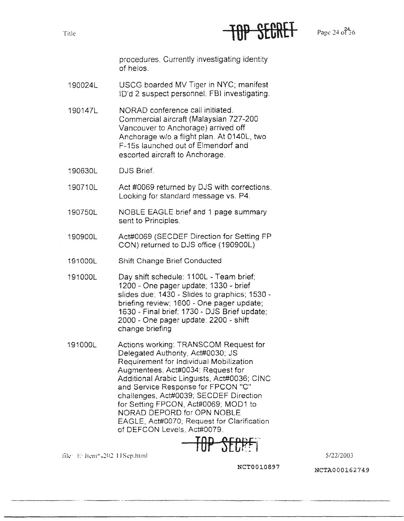

 $P_{\text{29C}}$  24  $^{24}_{0.36}$ 

procedures. Currently investigating identity of helos.

- 190024L USCG boarded MV Tiger in NYC; manifest !O'd 2 suspect personnel. FBI investigating.
- 190147L NORAD conference call initiated. Commercial aircraft (Malaysian 727-200 Vancouver to Anchorage) arrived off Anchorage w/o a flight plan. At 0140L, two F-15s launched out of Elmendorf and escorted aircraft to Anchorage.
- 190630L DJS Brief.
- 190710L Act #0069 returned by DJS with corrections. Looking for standard message vs. P4.
- 190750L NOBLE EAGLE brief and 1 page summary sent to Principles.
- 190900L Act#0069 (SECDEF Direction for Setting FP CON) returned to DJS office (190900L)
- 191000L Shift Change Brief Conducted
- 191000L Day shift schedule: 1100L - Team brief; 1200 - One pager update: 1330 - brief slides due: 1430 - Slides to graphics; 1530 briefing review: 1600 - One pager update; 1630 - Final brief; 1730 - DJS Brief update; 2000 - One pager update: 2200 - shift change briefing
- 191000L Actions working: TRANSCOM Request for Delegated Authority, Act#0030; JS Requirement for Individual Mobilization Augmentees, Act#0034: Request for Additional Arabic Linguists. Act#0036; CINC and Service Response for FPCON "C" challenges, Act#0039; SECDEF Direction for Setting FPCON, Act#0069; MOD1 to NORAD DEPORD for OPN NOBLE EAGLE, Act#0070: Request for Clarification of DEFCON Levels. Act#0079.

TOP SECPFT

file: E: Item<sup>6</sup> 202 11Sep.html

**NCT0010897** 

**NCTA000162749** 

512212003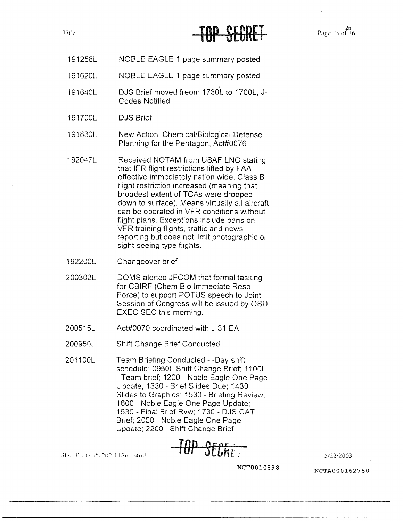### Title **Page 25 of 36** Tube **25 of 36** Tube **Page 25 of 36**

- 191258L NOBLE EAGLE 1 page summary posted
- 191620L NOBLE EAGLE 1 page summary posted
- 191640L DJS Brief moved freom 1730L to 1?00L, J-Codes Notified
- 191700L DJS Brief
- 191830L New Action: Chemical/Biological Defense Planning for the Pentagon, Act#0076
- 192047L Received NOTAM from USAF LNO stating that IFR flight restrictions lifted by FAA effective immediately nation wide. Class B flight restriction increased (meaning that broadest extent of TCAs were dropped down to surface). Means virtually all aircraft can be operated in VFR conditions without flight plans. Exceptions include bans on VFR training flights, traffic and news reporting but does not limit photographic or sight-seeing type flights.
- 192200L Changeover brief

file: E. .ltem" c202 11 Sep.html

- 200302L DOMS alerted JFCOM that formal tasking for CBIRF (Chem Bio Immediate Resp Force) to support POTUS speech to Joint Session of Congress will be issued by OSD EXEC SEC this morning.
- 200515L Act#00?0 coordinated with J-31 EA
- 200950L Shift Change Brief Conducted
- 201100L Team Briefing Conducted - -Day shift schedule: 0950L Shift Change Brief; 1100L - Team brief; 1200 - Noble Eagle One Page Update; 1330 - Brief Slides Due; 1430 - Slides to Graphics; 1530 - Briefing Review; 1600 - Noble Eagle One Page Update; 1630 - Final Brief Rvw; 1730 - DJS CAT Brief; 2000 - Noble Eagle One Page Update; 2200 - Shift Change Brief



5/22/2003

**NCT0010898**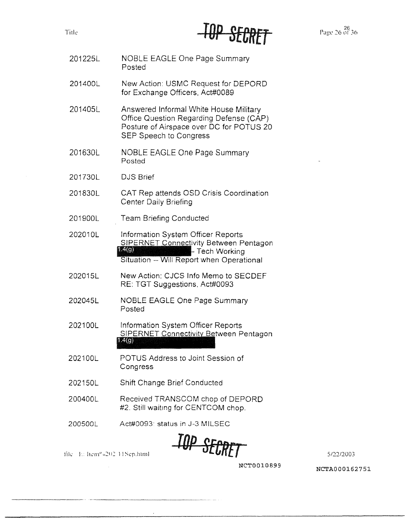

- 201225L NOBLE EAGLE One Page Summary Posted
- 201400L New Action: USMC Request for DEPORD for Exchange Officers, Act#0089
- 201405L Answered Informal White House Military Office Question Regarding Defense (CAP) Posture of Airspace over DC for POTUS 20 SEP Speech to Congress
- 201630L NOBLE EAGLE One Page Summary Posted
- 201730L DJS Brief
- 201830L CAT Rep attends OSD Crisis Coordination Center Daily Briefing
- 201900L Team Briefing Conducted
- 202010L Information System Officer Reports S!PERNET Connectivity Between Pentagon **1.4(g)** - Tech Working Situation -- Will Report when Operational
- 202015L New Action: CJCS Info Memo to SECDEF RE: TGT Suggestions. Act#0093
- 202045L NOBLE EAGLE One Page Summary Posted
- Information System Officer Reports 202100L SIPERNET Connectivity Between Pentagon  $1.4(g)$
- 202100L POTUS Address to Joint Session of Congress
- 202150L Shift Change Brief Conducted
- 200400L Received TRANSCOM chop of DEPORD #2. Still waiting for CENTCOM chop.
- 200500L Act#0093· status in J-3 MILSEC

file E: hem<sup>e 6202</sup> HSep.html

**TOP** *SECftET* 

512212003

NCT0010899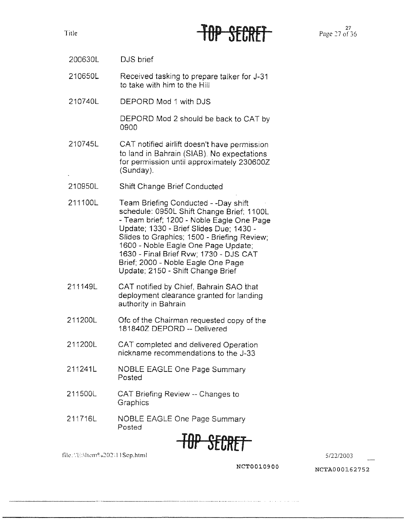Title  $\overline{10}P$  SECRFf  $P_{\text{age 27 of 36}}^{27}$ 

- 200630L DJS brief
- 210650L Received tasking to prepare talker for J-31 to take with him to the Hill
- 210740L DEPORD Mod 1 with DJS

DEPORD Mod 2 should be back to CAT by 0900

- 210745L CAT notified airlift doesn't have permission to land in Bahrain (SIAB). No expectations for permission until approximately 230600Z (Sunday).
- 210950L Shift Change Brief Conducted
- 211100L Team Briefing Conducted - -Day shift schedule: 0950L Shift Change Brief; 1100L - Team brief; 1200 - Noble Eagle One Page Update; 1330 - Brief Slides Due; 1430 - Slides to Graphics; 1500 - Briefing Review; 1600 - Noble Eagle One Page Update; 1630 - Final Brief Rvw; 1730 - DJS CAT Brief; 2000 - Noble Eagle One Page Update; 2150 - Shift Change Brief
- 211149L CAT notified by Chief, Bahrain SAO that deployment clearance granted for landing authority in Bahrain
- 211200L Ofc of the Chairman requested copy of the 1818402 DEPORD -- Delivered
- 211200L CAT completed and delivered Operation nickname recommendations to the J-33
- 211241L NOBLE EAGLE One Page Summary Posted
- 211500L CAT Briefing Review -- Changes to **Graphics**
- 211716L NOBLE EAGLE One Page Summary Posted



file. 'T:\ltcm0 u:::'02·. 11 Sep.html 5/22/2003

**NCTOOl.0900** NCTA000162752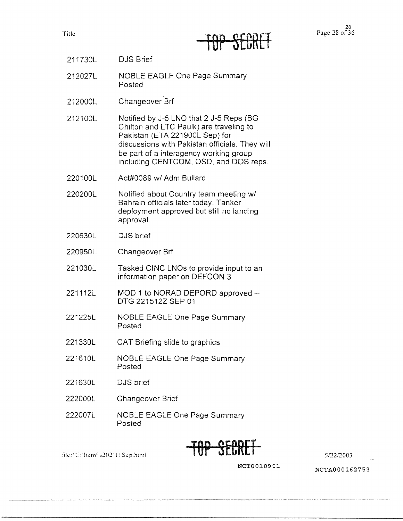|  |  | R. | 1111 |  |  |
|--|--|----|------|--|--|

- 211730L DJS Brief
- 212027L NOBLE EAGLE One Page Summary Posted
- 212000L Changeover Brf
- 212100L Notified by J-5 LNO that 2 J-5 Reps (BG Chilton and LTC Paulk) are traveling to Pakistan (ETA 221900L Sep) for discussions with Pakistan officials. They will be part of a interagency working group including CENTCOM, OSD, and DOS reps.
- 220100L Act#0089 w/ Adm Bullard
- 220200L Notified about Country team meeting w/ Bahrain officials later today. Tanker deployment approved but still no landing approval.
- 220630L DJS brief
- 220950L Changeover Brf
- 221030L Tasked CINC LNOs to provide input to an information paper on DEFCON 3
- 221112L MOD 1 to NORAD DEPORO approved - DTG 221512Z SEP 01
- 221225L NOBLE EAGLE One Page Summary Posted
- 221330L CAT Briefing slide to graphics
- 221610L NOBLE EAGLE One Page Summary Posted
- 221630L DJS brief

file:/'E:'hemº 0202' 11Sep.html

- 222DOOL Changeover Brief
- 222007L NOBLE EAGLE One Page Summary Posted



5/22/2003

**NCT0010901**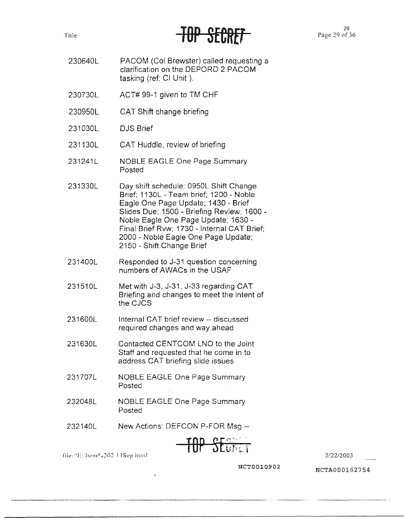## TUT JEUNCI

- 230640L PACOM (Col Brewster) called requesting a clarification on the DEPORD 2 PACOM tasking (ref: Cl Unit ).
- 230730L ACT# 99-1 given to TM CHF
- 230950L CAT Shift change briefing
- 231030L DJS Brief
- 231130L CAT Huddle, review of briefing
- 231241L NOBLE EAGLE One Page Summary Posted
- 231330L Day shift schedule: 0950L Shift Change Brief; 1130L - Team brief; 1200 - Noble Eagle One Page Update; 1430 - Brief Slides Due; 1500 - Briefing Review; 1600 - Noble Eagle One Page Update; 1630 - Final Brief **Rvw;** 1730 - Internal CAT Brief; 2000 - Noble Eagle One Page Update; 2150 - Shift Change Brief
- 231400L Responded to J-31 question concerning numbers of AWACs in the USAF
- 231510L Met with J-3, J-31, J-33 regarding CAT Briefing and changes to meet the intent of the CJCS
- 231600L Internal CAT brief review -- discussed required changes and way ahead
- 231630L Contacted CENTCOM LNO to the Joint Staff and requested that he come in to address CAT briefing slide issues
- 231707L NOBLE EAGLE One Page Summary Posted
- 232048L NOBLE EAGLE One Page Summary Posted
- 232140L New Actions: DEFCON P-FOR Msg --

$$
\overline{\text{HIP} \text{SE}}_{\text{total}}
$$

file:"E: Item<sup>6</sup> =202 11Sep.html

512212003

NCT0010902 NCTA000162754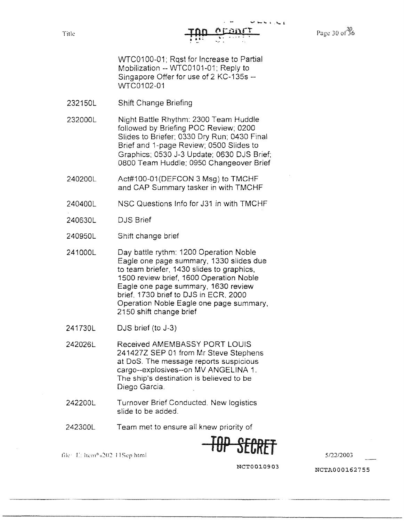Page 30 of 36

WTC0100-01; Rqst for Increase to Partial Mobilization -- WTC0101-01; Reply to Singapore Offer for use of 2 KC-135s - WTC0102-01

232150L Shift Change Briefing

232000L Night Battle Rhythm: 2300 Team Huddle followed by Briefing POC Review; 0200 Slides to Briefer: 0330 Dry Run; 0430 Final Brief and 1-page Review; 0500 Slides to Graphics: 0530 J-3 Update; 0630 DJS Brief; 0800 Team Huddle: 0950 Changeover Brief

240200L Act#100-01 (DEFCON 3 Msg) to TMCHF and CAP Summary tasker in with TMCHF

- 240400L NSC Questions Info for J31 in with TMCHF
- 240630L DJS Brief
- 240950L Shift change brief
- 241000L Day battle rythm: 1200 Operation Noble Eagle one page summary, 1330 slides due to team briefer, 1430 slides to graphics, 1500 review brief, 1600 Operation Noble Eagle one page summary, 1630 review brief. 1730 brief to DJS in ECR, 2000 Operation Noble Eagle one page summary, 2150 shift change brief
- 241730L DJS brief (to J-3)
- 242026L Received AMEMBASSY PORT LOUIS 241427Z SEP 01 from Mr Steve Stephens at DoS. The message reports suspicious cargo--explosives--on MV ANGELINA 1. The ship's destination is believed to be Diego Garcia.
- 242200L Turnover Brief Conducted. New logistics slide to be added.
- 242300L Team met to ensure all knew priority of

**TOP SEGRET** *5/22/2003* 

file: E: Item<sup>o</sup> a202 11Sep html

**NCT0010903** NCTA000162755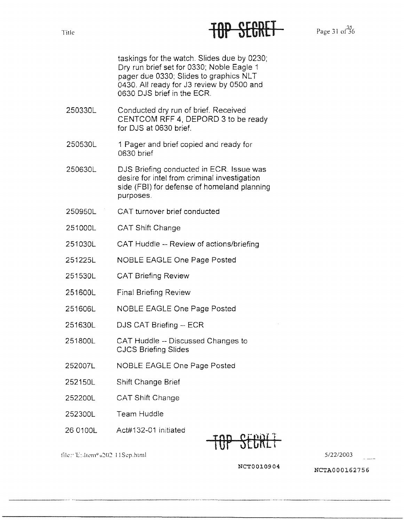### Title Page 31 of 36

taskings for the watch. Slides due by 0230; Dry run brief set for 0330: Noble Eagle 1 pager due 0330; Slides to graphics NLT 0430. All ready for J3 review by 0500 and 0630 DJS brief in the ECR.

- 250330L Conducted dry run of brief. Received CENTCOM RFF 4, DEPORD 3 to be ready for DJS at 0630 brief.
- 250530L 1 Pager and brief copied and ready for 0630 brief

250630L DJS Briefing conducted in ECR. Issue was desire for intel from criminal investigation side (FBI) for defense of homeland planning purposes.

- 250950L CAT turnover brief conducted
- 251000L CAT Shift Change
- 251030L CAT Huddle -- Review of actions/briefing
- 251225L NOBLE EAGLE One Page Posted
- 251530L CAT Briefing Review
- 251600L Final Briefing Review
- 251606L NOBLE EAGLE One Page Posted
- 251630L DJS CAT Briefing -- ECR
- 251800L CAT Huddle -- Discussed Changes to CJCS Briefing Slides
- 252007L NOBLE EAGLE One Page Posted
- 252150L Shift Change Brief
- 252200L CAT Shift Change
- 252300L Team Huddle

file: 'E: Jiem® 0202 11Sep.html

26 0100L Act#132-01 initiated

TOP SECRll

5/22/2003

NCT0010904 NCTA000162756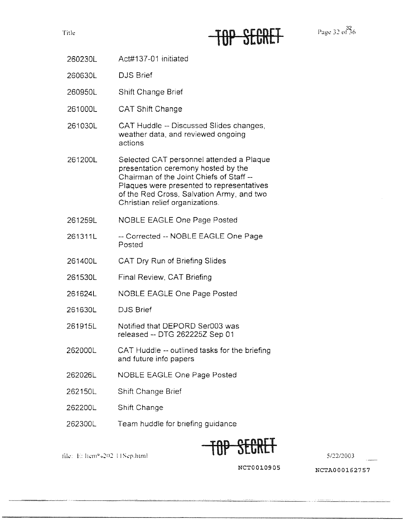

Page 32 of 36

- 260230L Act#137-01 initiated
- 260630L DJS Brief
- 260950L Shift Change Brief
- 261000L CAT Shift Change
- 261030L CAT Huddle -- Discussed Slides changes, weather data, and reviewed ongoing actions
- 261200L Selected CAT personnel attended a Plaque presentation ceremony hosted by the Chairman of the Joint Chiefs of Staff - Plaques were presented to representatives of the Red Cross. Salvation Army, and two Christian relief organizations.
- 261259L NOBLE EAGLE One Page Posted
- 261311L -- Corrected -- NOBLE EAGLE One Page Posted
- 261400L CAT Dry Run of Briefing Slides
- 261530L Final Review. CAT Briefing
- 261624L NOBLE EAGLE One Page Posted
- 261630L DJS Brief
- 261915L Notified that DEPORD Ser003 was released -- DTG 262225Z Sep 01
- 262000L CAT Huddle -- outlined tasks for the briefing and future info papers
- 262026L NOBLE EAGLE One Page Posted
- 262150L Shift Change Brief
- 262200L Shift Change

file: E: Item<sup>o</sup> 202 11Sep.html

262300L Team huddle for briefing guidance



**NCT0010905 NCTA000162757**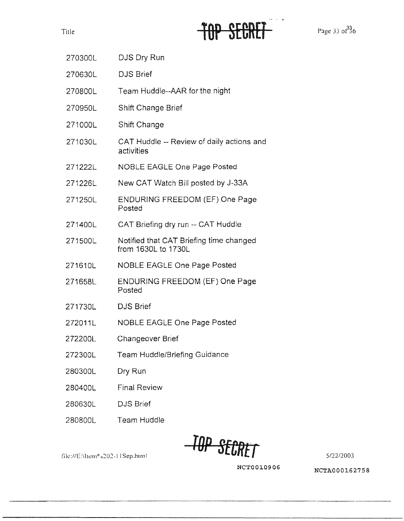# TOP SECRET

Page 33 of 36

| 270300L | DJS Dry Run                                                    |
|---------|----------------------------------------------------------------|
| 270630L | <b>DJS Brief</b>                                               |
| 270800L | Team Huddle--AAR for the night                                 |
| 270950L | Shift Change Brief                                             |
| 271000L | Shift Change                                                   |
| 271030L | CAT Huddle -- Review of daily actions and<br>activities        |
| 271222L | <b>NOBLE EAGLE One Page Posted</b>                             |
| 271226L | New CAT Watch Bill posted by J-33A                             |
| 271250L | <b>ENDURING FREEDOM (EF) One Page</b><br>Posted                |
| 271400L | CAT Briefing dry run -- CAT Huddle                             |
| 271500L | Notified that CAT Briefing time changed<br>from 1630L to 1730L |
| 271610L | <b>NOBLE EAGLE One Page Posted</b>                             |
| 271658L | <b>ENDURING FREEDOM (EF) One Page</b><br>Posted                |
| 271730L | <b>DJS Brief</b>                                               |
| 272011L | <b>NOBLE EAGLE One Page Posted</b>                             |
| 272200L | Changeover Brief                                               |
| 272300L | <b>Team Huddle/Briefing Guidance</b>                           |
| 280300L | Dry Run                                                        |
| 280400L | <b>Final Review</b>                                            |
| 280630L | <b>DJS Brief</b>                                               |
|         |                                                                |

280800L Team Huddle

fik:1/E:\ltl'm 0 u:202, 11 Sep.html **TOP SECR1J** 5/22/2003

**NCTOOJ.0906** NCTA000162758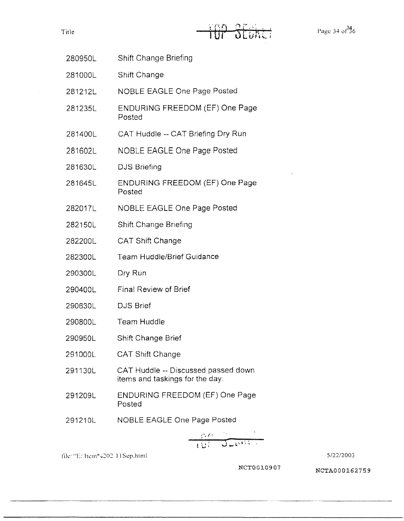| 280950L | Shift Change Briefing |
|---------|-----------------------|
| 281000L | Shift Change          |

281212L NOBLE EAGLE One Page Posted

- 281235L ENDURING FREEDOM (EF) One Page Posted
- 281400L CAT Huddle -- CAT Briefing Dry Run
- 281602L NOBLE EAGLE One Page Posted
- 281630L DJS Briefing
- 281645L ENDURING FREEDOM (EF) One Page Posted
- 282017L NOBLE EAGLE One Page Posted
- 282150L Shift Change Briefing
- 282200L CAT Shift Change
- 282300L Team Huddle/Brief Guidance
- 290300L Dry Run
- 290400L Final Review of Brief
- 290630L DJS Brief
- 290800L Team Huddle
- 290950L Shift Change Brief
- 291000L CAT Shift Change
- 291130L CAT Huddle -- Discussed passed down items and taskings for the day.
- 291209L ENDURING FREEDOM (EF) One Page Posted
- 291210L NOBLE EAGLE One Page Posted

$$
\frac{d\mathcal{L}^{\text{max}}}{d\mathcal{L}^{\text{max}}}
$$

file: "E: ltem" u202 11Sep.html 5/22/2003

**NCTOOl.0907** NCTA000162759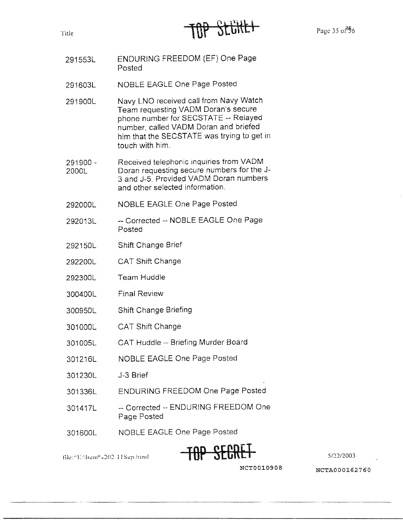

- 291553L ENDURING FREEDOM (EF) One Page Posted
- 291603L NOBLE EAGLE One Page Posted
- 291900L Navy LNO received call from Navy Watch Team requesting VADM Doran's secure phone number for SECSTATE -- Relayed number, called VADM Doran and briefed him that the SECSTATE was trying to get in touch with him.
- 291900 2000L Received telephonic inquiries from VADM Doran requesting secure numbers for the J-3 and J-5. Provided VADM Doran numbers and other selected information.
- 292000L NOBLE EAGLE One Page Posted
- 292013L -- Corrected -- NOBLE EAGLE One Page Posted
- 292150L Shift Change Brief
- 292200L CAT Shift Change
- 292300L Team Huddle
- 300400L Final Review
- 300950L Shift Change Briefing
- 301000L CAT Shift Change
- 301005L CAT Huddle -- Briefing Murder Board
- 301216L NOBLE EAGLE One Page Posted
- 301230L J-3 Brief
- 301336L ENDURING FREEDOM One Page Posted
- 301417L -- Corrected -- ENDURING FREEDOM One Page Posted
- 301600L NOBLE EAGLE One Page Posted



file://Enltem<sup>0</sup> 0202-11Sep.html

**NCTOOl.0908 NCTA000162760**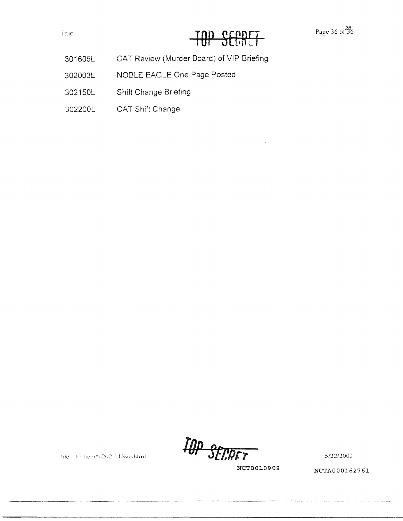### Title Title **TOP SECRE**

- 301605L CAT Review (Murder Board) of VIP Briefing
- 302003L NOBLE EAGLE One Page Posted
- 302150L Shift Change Briefing
- 302200L CAT Shift Change

*/l)p* **S[f,/)/:1** 5/22/:2003

**NCT0010909** NCTA000162761

file F: Item® 0202 11Sep.html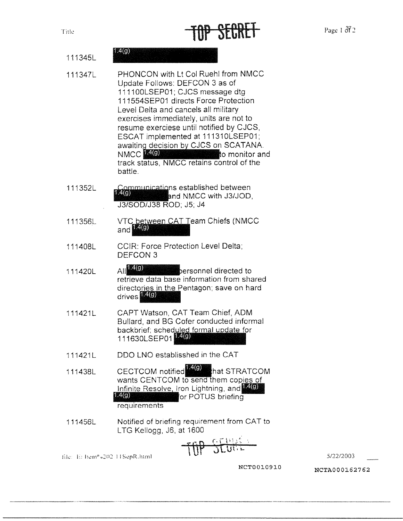| Title | TOP SECRET | Page 1 $372$ |
|-------|------------|--------------|
|-------|------------|--------------|

|         | . |  |
|---------|---|--|
| 1113451 |   |  |
|         |   |  |

- 111347L PHONCON with Lt Col Ruehl from NMCC Update Follows: DEFCON 3 as of 1111 00LSEP01; CJCS message dtg 111554SEP01 directs Force Protection Level Delta and cancels all military exercises immediately, units are not to resume exerciese until notified by CJCS, ESCAT implemented at 111310LSEP01; ESCAT implemented at 111310LSEP01;<br>awaiting decision by CJCS on SCATANA. ESCAT Implemented at TTT5T0ESEP01,<br>awaiting decision by CJCS on SCATANA.<br>NMCC-0 monitor and track status, NMCC retains control of the battle.
- 111352L track status, NMCC retains control of the<br>battle.<br>Communications established between<br>140 and NMCC with J3/JOD,<br>J3/SOD/J38 ROD: J5: J4 J3/SOD/J38 ROD; J5; J4
- 111356L VTC between CAT Team Chiefs (NMCC and **14(g)**
- 111408L CCIR: Force Protection Level Delta; DEFCON 3
- 111420L All  $^{4(9)}$  ersonnel directed to retrieve data base information from shared directories in the Pentagon; save on hard drives **1.4(g)**
- 111421L CAPT Watson, CAT Team Chief, ADM Bullard, and BG Cofer conducted informal Bullard, and BG Cofer conducted informated by the Bullard, and BG Cofer conducted informated by the state of the state of the state of the state of the state of the state of the state of the state of the state of the state backbrief; scheduled formal update fo<br>111630LSEP01<mark>14(9)</mark>
- 111421L ODO LNO establisshed in the CAT
- 111438L CECTCOM notified<sup>14(9)</sup> that STRATCOM wants CENTCOM to send them copies of Infinite Resolve, Iron Lightning, and 1400 for POTUS briefing requirements
- 111456L Notified of briefing requirement from CAT to LTG Kellogg, J6, at 1600

$$
\overline{f}f\overline{f}f\overline{f}f\overline{f}f\overline{f}f\overline{f}f\overline{f}f\overline{f}f\overline{f}f\overline{f}f\overline{f}f\overline{f}f\overline{f}f\overline{f}f\overline{f}f\overline{f}f\overline{f}f\overline{f}f\overline{f}f\overline{f}f\overline{f}f\overline{f}f\overline{f}f\overline{f}f\overline{f}f\overline{f}f\overline{f}f\overline{f}f\overline{f}f\overline{f}f\overline{f}f\overline{f}f\overline{f}f\overline{f}f\overline{f}f\overline{f}f\overline{f}f\overline{f}f\overline{f}f\overline{f}f\overline{f}f\overline{f}f\overline{f}f\overline{f}f\overline{f}f\overline{f}f\overline{f}f\overline{f}f\overline{f}f\overline{f}f\overline{f}f\overline{f}f\overline{f}f\overline{f}f\overline{f}f\overline{f}f\overline{f}f\overline{f}f\overline{f}f\overline{f}f\overline{f}f\overline{f}f\overline{f}f\overline{f}f\overline{f}f\overline{f}f\overline{f}f\overline{f}f\overline{f}f\overline{f}f\overline{f}f\overline{f}f\overline{f}f\overline{f}f\overline{f}f\overline{f}f\overline{f}f\overline{f}f\overline{f}f\overline{f}f\overline{f}f\overline{f}f\overline{f}f\overline{f}f\overline{f}f\overline{f}f\overline{f}f\overline{f}f\overline{f}f\overline{f}f\overline{f}f\overline{f}f\overline{f}f\overline{f}f\overline{f}f\overline{f}f\overline{f}f\overline{f}f\overline{f}f\overline{f}f\overline{f}f\overline{f}f\overline{f}f}f\overline{f}f\overline{f}f\overline{f}f\overline{f}f\overline{f}f\over
$$

file: E: Item<sup>6</sup> J202 11SepR.html

5/22/2003

NCT0010910 NCTA000162762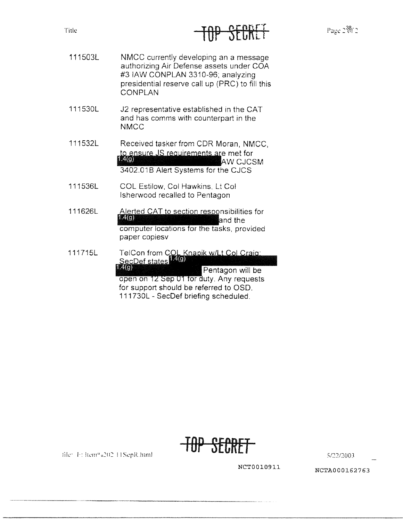### INL SEPULI

- 111503L NMCC currently developing an a message authorizing Air Defense assets under COA #3 IAW CONPLAN 3310-96; analyzing presidential reserve call up (PRC) to fill this CONPLAN
- 111530L J2 representative established in the CAT and has comms with counterpart in the NMCC
- 111532L Received tasker from CDR Moran, NMCC, to ensure JS requirements are met for **E4(C)** W CJCSM 3402.018 Alert Systems for the CJCS
- 111536L COL Estilow. Col Hawkins, Lt Col Isherwood recalled to Pentagon

file: F: Item<sup>o</sup> 202 HSepR.html

- 111626L Alerted CAT to section responsibilities for  $1.4(g)$ and the computer locations for the tasks, provided paper copiesv
- TelCon from COL Knapik w/Lt Col Craig:<br>SecDef states 14(g) 111715L  $1.4(g)$ Pentagon will be open on 12 Sep 01 for duty. Any requests for support should be referred to OSD. 111730L - SecDef briefing scheduled.



5/22/2003

**NCTOOl.0911** NCTA000162763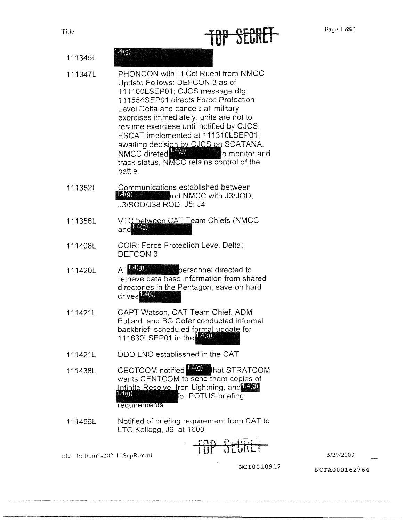### TOP StCREl

| 111345L | 1.4(g)                                                                                                                                                                                                                                                                                                                                                                                                                                                               |
|---------|----------------------------------------------------------------------------------------------------------------------------------------------------------------------------------------------------------------------------------------------------------------------------------------------------------------------------------------------------------------------------------------------------------------------------------------------------------------------|
| 111347L | PHONCON with Lt Col Ruehl from NMCC<br>Update Follows: DEFCON 3 as of<br>111100LSEP01; CJCS message dtg<br>111554SEP01 directs Force Protection<br>Level Delta and cancels all military<br>exercises immediately, units are not to<br>resume exerciese until notified by CJCS,<br>ESCAT implemented at 111310LSEP01;<br>awaiting decision by CJCS on SCATANA.<br>NMCC direted <b>14(g)</b><br>to monitor and<br>track status, NMCC retains control of the<br>battle. |
| 111352L | Communications established between<br>1.4(g)<br>and NMCC with J3/JOD,<br>J3/SOD/J38 ROD; J5; J4                                                                                                                                                                                                                                                                                                                                                                      |
| 111356L | VTC between CAT Team Chiefs (NMCC<br>and                                                                                                                                                                                                                                                                                                                                                                                                                             |
| 111408L | <b>CCIR: Force Protection Level Delta;</b><br>DEFCON 3                                                                                                                                                                                                                                                                                                                                                                                                               |
| 111420L | A  140<br><b>Example 2</b> personnel directed to<br>retrieve data base information from shared<br>directories in the Pentagon; save on hard<br>drives <sup>[40]</sup>                                                                                                                                                                                                                                                                                                |
| 111421L | CAPT Watson, CAT Team Chief, ADM<br>Bullard, and BG Cofer conducted informal<br>backbrief; scheduled formal update for<br>111630LSEP01 in the $\frac{4(9)}{4(9)}$                                                                                                                                                                                                                                                                                                    |
| 111421L | DDO LNO establisshed in the CAT                                                                                                                                                                                                                                                                                                                                                                                                                                      |
| 111438L | CECTCOM notified <b>19 That STRATCOM</b><br>wants CENTCOM to send them copies of<br>Infinite Resolve, Iron Lightning, and EIO)<br>1.4(g)<br>for POTUS briefing<br>requirements                                                                                                                                                                                                                                                                                       |
| 111456L | Notified of briefing requirement from CAT to<br>LTG Kellogg, J6, at 1600                                                                                                                                                                                                                                                                                                                                                                                             |
|         | $ +$ $+$ $+$ $-$                                                                                                                                                                                                                                                                                                                                                                                                                                                     |

5/29/2003

lile: E: ltem<sup>0</sup> 0202 11SepR.html

**NCTOOl.0912** 

 $\boldsymbol{\star}$